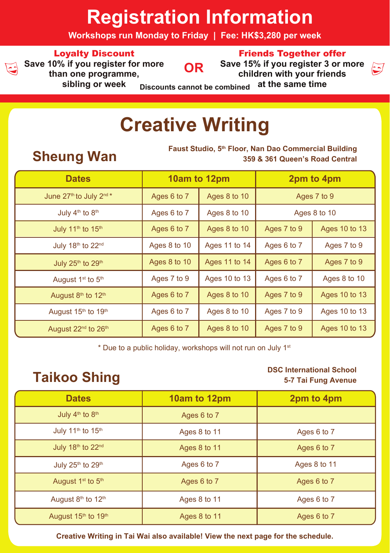# **Registration Information**

**Workshops run Monday to Friday | Fee: HK\$3,280 per week**

## Loyalty Discount



**Save 10% if you register for more than one programme, sibling or week**

**OR**



<u>ات</u>

**Save 15% if you register 3 or more children with your friends at the same time**

**Discounts cannot be combined**

# **Creative Writing**

**Faust Studio, 5th Floor, Nan Dao Commercial Building Wan Sheung Wan Sheung** 359 & 361 Queen's Road Central **359 & 361 Queen's Road Central**

| <b>Dates</b>                                |              | 10am to 12pm  | 2pm to 4pm  |               |  |
|---------------------------------------------|--------------|---------------|-------------|---------------|--|
| June 27th to July 2nd *                     | Ages 6 to 7  | Ages 8 to 10  | Ages 7 to 9 |               |  |
| July 4 <sup>th</sup> to 8 <sup>th</sup>     | Ages 6 to 7  | Ages 8 to 10  |             | Ages 8 to 10  |  |
| July 11 <sup>th</sup> to 15 <sup>th</sup>   | Ages 6 to 7  | Ages 8 to 10  | Ages 7 to 9 | Ages 10 to 13 |  |
| July 18th to 22nd                           | Ages 8 to 10 | Ages 11 to 14 | Ages 6 to 7 | Ages 7 to 9   |  |
| July 25th to 29th                           | Ages 8 to 10 | Ages 11 to 14 | Ages 6 to 7 | Ages 7 to 9   |  |
| August 1 <sup>st</sup> to 5 <sup>th</sup>   | Ages 7 to 9  | Ages 10 to 13 | Ages 6 to 7 | Ages 8 to 10  |  |
| August 8th to 12th                          | Ages 6 to 7  | Ages 8 to 10  | Ages 7 to 9 | Ages 10 to 13 |  |
| August 15th to 19th                         | Ages 6 to 7  | Ages 8 to 10  | Ages 7 to 9 | Ages 10 to 13 |  |
| August 22 <sup>nd</sup> to 26 <sup>th</sup> | Ages 6 to 7  | Ages 8 to 10  | Ages 7 to 9 | Ages 10 to 13 |  |

\* Due to a public holiday, workshops will not run on July 1st

## **DSC International School**<br>5-7 Tai Fung Avenue **5-7 Tai Fung Avenue**

| <b>Dates</b>                              | 10am to 12pm | 2pm to 4pm   |
|-------------------------------------------|--------------|--------------|
| July 4 <sup>th</sup> to 8 <sup>th</sup>   | Ages 6 to 7  |              |
| July 11 <sup>th</sup> to 15 <sup>th</sup> | Ages 8 to 11 | Ages 6 to 7  |
| July 18th to 22nd                         | Ages 8 to 11 | Ages 6 to 7  |
| July 25th to 29th                         | Ages 6 to 7  | Ages 8 to 11 |
| August 1 <sup>st</sup> to 5 <sup>th</sup> | Ages 6 to 7  | Ages 6 to 7  |
| August 8th to 12th                        | Ages 8 to 11 | Ages 6 to 7  |
| August 15th to 19th                       | Ages 8 to 11 | Ages 6 to 7  |

**Creative Writing in Tai Wai also available! View the next page for the schedule.**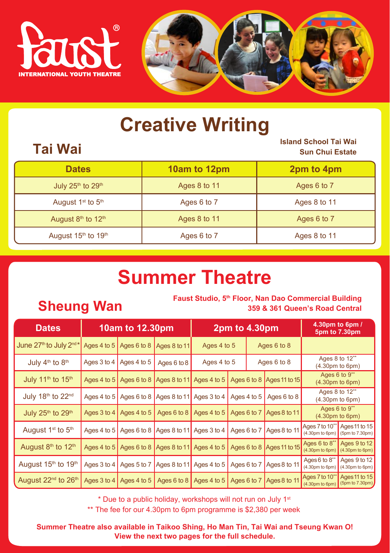

# **Creative Writing**

## **Tai Wai Island School Tai Wai Sun Chui Estate**

| <b>Dates</b>                                | 10am to 12pm | 2pm to 4pm   |
|---------------------------------------------|--------------|--------------|
| July 25th to 29th                           | Ages 8 to 11 | Ages 6 to 7  |
| August 1 <sup>st</sup> to 5 <sup>th</sup>   | Ages 6 to 7  | Ages 8 to 11 |
| August 8th to 12th                          | Ages 8 to 11 | Ages 6 to 7  |
| August 15 <sup>th</sup> to 19 <sup>th</sup> | Ages 6 to 7  | Ages 8 to 11 |

# **Summer Theatre**

## **Faust Studio, 5<sup>th</sup> Floor, Nan Dao Commercial Building <b>Sheung Wan Sheung Man** 359 & 361 Queen's Road Central **359 & 361 Queen's Road Central**

| <b>Dates</b>                                | 10am to 12.30pm |                                        |                                                              | 2pm to 4.30pm |                                                                                      |  |              | 4.30pm to 6pm /<br>5pm to 7.30pm                                     |                                 |  |             |  |  |
|---------------------------------------------|-----------------|----------------------------------------|--------------------------------------------------------------|---------------|--------------------------------------------------------------------------------------|--|--------------|----------------------------------------------------------------------|---------------------------------|--|-------------|--|--|
| June $27th$ to July $2nd*$                  |                 | Ages 4 to 5 Ages 6 to 8                | Ages 8 to 11                                                 |               |                                                                                      |  |              |                                                                      | Ages 4 to 5                     |  | Ages 6 to 8 |  |  |
| July 4 <sup>th</sup> to 8 <sup>th</sup>     |                 | Ages 3 to 4 $\vert$ Ages 4 to 5        | Ages 6 to 8                                                  | Ages 4 to 5   |                                                                                      |  | Ages 6 to 8  | Ages 8 to 12**<br>(4.30 <sub>pm</sub> to 6 <sub>pm</sub> )           |                                 |  |             |  |  |
| July 11 <sup>th</sup> to 15 <sup>th</sup>   |                 |                                        |                                                              |               | Ages 4 to 5   Ages 6 to 8   Ages 8 to 11   Ages 4 to 5   Ages 6 to 8   Ages 11 to 15 |  |              | Ages $6$ to $9^{**}$<br>(4.30 <sub>pm</sub> to 6 <sub>pm</sub> )     |                                 |  |             |  |  |
| July 18th to 22nd                           |                 |                                        | Ages 4 to 5 Ages 6 to 8 Ages 8 to 11 Ages 3 to 4 Ages 4 to 5 |               |                                                                                      |  | Ages 6 to 8  | Ages 8 to 12**<br>(4.30pm to 6pm)                                    |                                 |  |             |  |  |
| July 25th to 29th                           |                 | Ages 3 to 4 $\overline{)}$ Ages 4 to 5 |                                                              |               | Ages 6 to 8   Ages 4 to 5   Ages 6 to 7   Ages 8 to 11                               |  |              | Ages 6 to 9**<br>(4.30 <sub>pm</sub> to 6 <sub>pm</sub> )            |                                 |  |             |  |  |
| August 1 <sup>st</sup> to 5 <sup>th</sup>   | Ages 4 to $5$   |                                        | Ages 6 to 8 Ages 8 to 11 Ages 3 to 4 Ages 6 to 7             |               |                                                                                      |  | Ages 8 to 11 | Ages 7 to 10** Ages 11 to 15<br>(4.30pm to 6pm)                      | (5pm to 7.30pm)                 |  |             |  |  |
| August 8th to 12th                          |                 |                                        |                                                              |               | Ages 4 to 5 Ages 6 to 8 Ages 8 to 11 Ages 4 to 5 Ages 6 to 8 Ages 11 to 15           |  |              | Ages 6 to 8**<br>$(4.30 \text{pm to 6pm})$ $(4.30 \text{pm to 6pm})$ | Aqes 9 to 12                    |  |             |  |  |
| August 15 <sup>th</sup> to 19 <sup>th</sup> |                 |                                        |                                                              |               | Ages 3 to 4   Ages 5 to 7   Ages 8 to 11   Ages 4 to 5   Ages 6 to 7                 |  | Ages 8 to 11 | Ages 6 to 8**<br>(4.30pm to 6pm)                                     | Ages 9 to 12<br>(4.30pm to 6pm) |  |             |  |  |
| August 22 <sup>nd</sup> to 26 <sup>th</sup> | Ages $3$ to $4$ | Ages 4 to 5                            | Ages 6 to 8                                                  | Ages 4 to 5   | Ages 6 to 7                                                                          |  | Ages 8 to 11 | Ages 7 to 10**<br>$(4.30 \text{pm to 6pm})$ (5pm to 7.30pm)          | $\sqrt{$ Ages 11 to 15          |  |             |  |  |

\* Due to a public holiday, workshops will not run on July 1st

\*\* The fee for our 4.30pm to 6pm programme is \$2,380 per week

**Summer Theatre also available in Taikoo Shing, Ho Man Tin, Tai Wai and Tseung Kwan O! View the next two pages for the full schedule.**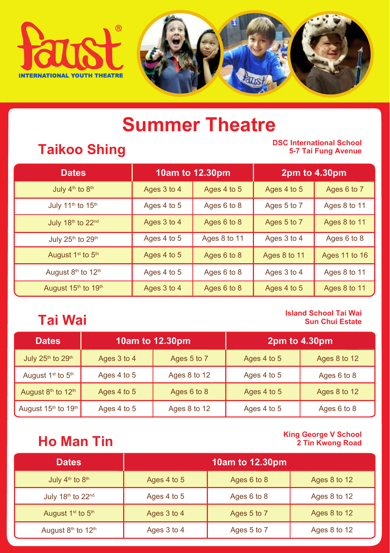



# **Summer Theatre**

## **Taikoo Shing**

## **DSC International School 5-7 Tai Fung Avenue**

| <b>Dates</b>                              |                            | 10am to 12.30pm |              | 2pm to 4.30pm |
|-------------------------------------------|----------------------------|-----------------|--------------|---------------|
| July 4 <sup>th</sup> to 8 <sup>th</sup>   | Ages 3 to 4<br>Ages 4 to 5 |                 | Ages 4 to 5  | Ages 6 to 7   |
| July 11 <sup>th</sup> to 15 <sup>th</sup> | Ages 4 to 5                | Ages 6 to 8     | Ages 5 to 7  | Ages 8 to 11  |
| July 18th to 22nd                         | Ages 3 to 4                | Ages 6 to 8     | Ages 5 to 7  | Ages 8 to 11  |
| July 25th to 29th                         | Ages 4 to 5                | Ages 8 to 11    | Ages 3 to 4  | Ages 6 to 8   |
| August 1 <sup>st</sup> to 5 <sup>th</sup> | Ages 4 to 5                | Ages 6 to 8     | Ages 8 to 11 | Ages 11 to 16 |
| August 8th to 12th                        | Ages 4 to 5                | Ages 6 to 8     | Ages 3 to 4  | Ages 8 to 11  |
| August 15th to 19th                       | Ages 3 to 4                | Ages 6 to 8     | Ages 4 to 5  | Ages 8 to 11  |

### **Tai Wai Island School Tai Wai Sun Chui Estate**

| <b>Dates</b>                              |             | 10am to 12.30pm |             | 2pm to 4.30pm |
|-------------------------------------------|-------------|-----------------|-------------|---------------|
| July 25th to 29th                         | Ages 3 to 4 | Ages 5 to 7     | Ages 4 to 5 | Ages 8 to 12  |
| August 1 <sup>st</sup> to 5 <sup>th</sup> | Ages 4 to 5 | Ages 8 to 12    | Ages 4 to 5 | Ages 6 to 8   |
| August 8th to 12th                        | Ages 4 to 5 | Ages 6 to 8     | Ages 4 to 5 | Ages 8 to 12  |
| August $15th$ to $19th$                   | Ages 4 to 5 | Ages 8 to 12    | Ages 4 to 5 | Ages 6 to 8   |

## **Ho Man Tin King George V School 2 Tin Kwong Road**

| <b>Dates</b>                              | 10am to 12.30pm |             |              |  |  |
|-------------------------------------------|-----------------|-------------|--------------|--|--|
| July 4 <sup>th</sup> to 8 <sup>th</sup>   | Ages 4 to 5     | Ages 6 to 8 | Ages 8 to 12 |  |  |
| July 18th to 22nd                         | Ages 4 to 5     | Ages 6 to 8 | Ages 8 to 12 |  |  |
| August 1 <sup>st</sup> to 5 <sup>th</sup> | Ages 3 to 4     | Ages 5 to 7 | Ages 8 to 12 |  |  |
| August 8th to 12th                        | Ages 3 to 4     | Ages 5 to 7 | Ages 8 to 12 |  |  |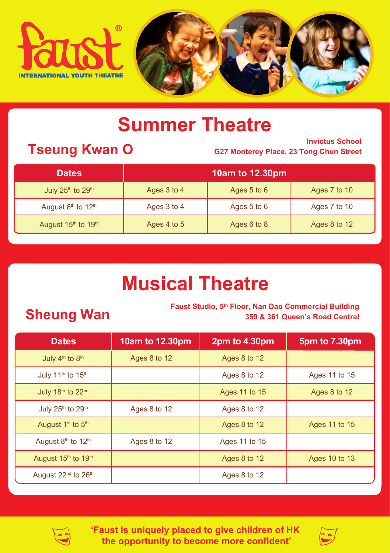

# **Summer Theatre**

**Tseung Kwan O Invictus School Invictus School Invictus School Invictus School G27 Monterey Place, 23 Tong Chun Street**

| <b>Dates</b>                              | 10am to 12.30pm |             |              |  |  |
|-------------------------------------------|-----------------|-------------|--------------|--|--|
| July 25 <sup>th</sup> to 29 <sup>th</sup> | Ages 3 to 4     | Ages 5 to 6 | Ages 7 to 10 |  |  |
| August 8th to 12th                        | Ages 3 to 4     | Ages 5 to 6 | Ages 7 to 10 |  |  |
| August 15th to 19th                       | Ages 4 to 5     | Ages 6 to 8 | Ages 8 to 12 |  |  |

# **Musical Theatre**

**Faust Studio, 5th Floor, Nan Dao Commercial Building Sheung Wan Faust Studio, 5th Floor, Nan Dao Commercial Building 359 & 361 Queen's Road Central**

| <b>Dates</b>                                | 10am to 12.30pm | 2pm to 4.30pm | 5pm to 7.30pm |
|---------------------------------------------|-----------------|---------------|---------------|
| July 4 <sup>th</sup> to 8 <sup>th</sup>     | Ages 8 to 12    | Ages 8 to 12  |               |
| July 11 <sup>th</sup> to 15 <sup>th</sup>   |                 | Ages 8 to 12  | Ages 11 to 15 |
| July 18th to 22nd                           |                 | Ages 11 to 15 | Ages 8 to 12  |
| July 25 <sup>th</sup> to 29 <sup>th</sup>   | Ages 8 to 12    | Ages 8 to 12  |               |
| August 1 <sup>st</sup> to 5 <sup>th</sup>   |                 | Ages 8 to 12  | Ages 11 to 15 |
| August 8th to 12th                          | Ages 8 to 12    | Ages 11 to 15 |               |
| August 15 <sup>th</sup> to 19 <sup>th</sup> |                 | Ages 8 to 12  | Ages 10 to 13 |
| August 22 <sup>nd</sup> to 26 <sup>th</sup> |                 | Ages 8 to 12  |               |



**'Faust is uniquely placed to give children of HK the opportunity to become more confident'**

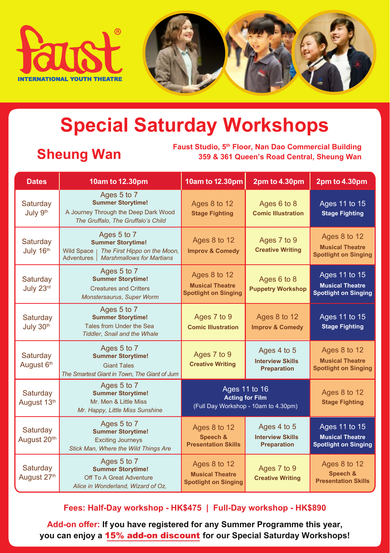



# **Special Saturday Workshops**

**Sheung Wan** Faust Studio, 5<sup>th</sup> Floor, Nan Dao Commercial Building<br>359 & 361 Queen's Road Central, Sheung Wan **359 & 361 Queen's Road Central, Sheung Wan**

| <b>Dates</b>                         | 10am to 12.30pm                                                                                                                                | 10am to 12.30pm                                                         | 2pm to 4.30pm                                                                   | 2pm to 4.30pm                                                          |
|--------------------------------------|------------------------------------------------------------------------------------------------------------------------------------------------|-------------------------------------------------------------------------|---------------------------------------------------------------------------------|------------------------------------------------------------------------|
| Saturday<br>July 9th                 | Ages 5 to 7<br><b>Summer Storytime!</b><br>A Journey Through the Deep Dark Wood<br>The Gruffalo, The Gruffalo's Child                          | Ages 8 to 12<br><b>Stage Fighting</b>                                   | Ages 6 to 8<br><b>Comic Illustration</b>                                        | Ages 11 to 15<br><b>Stage Fighting</b>                                 |
| Saturday<br>July 16th                | Ages 5 to 7<br><b>Summer Storytime!</b><br><b>Wild Space</b><br>The First Hippo on the Moon,<br>Adventures<br><b>Marshmallows for Martians</b> | Ages 8 to 12<br><b>Improv &amp; Comedy</b>                              | Ages 7 to 9<br><b>Creative Writing</b>                                          | Ages 8 to 12<br><b>Musical Theatre</b><br><b>Spotlight on Singing</b>  |
| Saturday<br>July 23rd                | Ages 5 to 7<br><b>Summer Storytime!</b><br><b>Creatures and Critters</b><br>Monstersaurus, Super Worm                                          | Ages 8 to 12<br><b>Musical Theatre</b><br><b>Spotlight on Singing</b>   | Ages 6 to 8<br><b>Puppetry Workshop</b>                                         | Ages 11 to 15<br><b>Musical Theatre</b><br><b>Spotlight on Singing</b> |
| Saturday<br>July 30th                | Ages 5 to 7<br><b>Summer Storytime!</b><br>Tales from Under the Sea<br><b>Tiddler, Snail and the Whale</b>                                     | Ages 7 to 9<br><b>Comic Illustration</b>                                | Ages 8 to 12<br><b>Improv &amp; Comedy</b>                                      | Ages 11 to 15<br><b>Stage Fighting</b>                                 |
| Saturday<br>August 6th               | Ages 5 to 7<br><b>Summer Storytime!</b><br><b>Giant Tales</b><br>The Smartest Giant in Town, The Giant of Jum                                  | Ages 7 to 9<br><b>Creative Writing</b>                                  | Ages 4 to 5<br><b>Interview Skills</b><br><b>Preparation</b>                    | Ages 8 to 12<br><b>Musical Theatre</b><br><b>Spotlight on Singing</b>  |
| Saturday<br>August 13th              | Ages 5 to 7<br><b>Summer Storytime!</b><br>Mr. Men & Little Miss<br>Mr. Happy, Little Miss Sunshine                                            |                                                                         | Ages 11 to 16<br><b>Acting for Film</b><br>(Full Day Workshop - 10am to 4.30pm) | Ages 8 to 12<br><b>Stage Fighting</b>                                  |
| Saturday<br>August 20 <sup>tth</sup> | Ages 5 to 7<br><b>Summer Storytime!</b><br><b>Exciting Journeys</b><br>Stick Man, Where the Wild Things Are                                    | Ages 8 to 12<br>Speech &<br><b>Presentation Skills</b>                  | Ages 4 to 5<br><b>Interview Skills</b><br><b>Preparation</b>                    | Ages 11 to 15<br><b>Musical Theatre</b><br><b>Spotlight on Singing</b> |
| Saturday<br>August 27 <sup>th</sup>  | Ages 5 to 7<br><b>Summer Storytime!</b><br>Off To A Great Adventure<br>Alice in Wonderland, Wizard of Oz,                                      | Ages $8$ to 12<br><b>Musical Theatre</b><br><b>Spotlight on Singing</b> | Ages 7 to 9<br><b>Creative Writing</b>                                          | Ages 8 to 12<br>Speech &<br><b>Presentation Skills</b>                 |

## **Fees: Half-Day workshop - HK\$475 | Full-Day workshop - HK\$890**

**Add-on offer: If you have registered for any Summer Programme this year, you can enjoy a** 15% add-on discount **for our Special Saturday Workshops!**